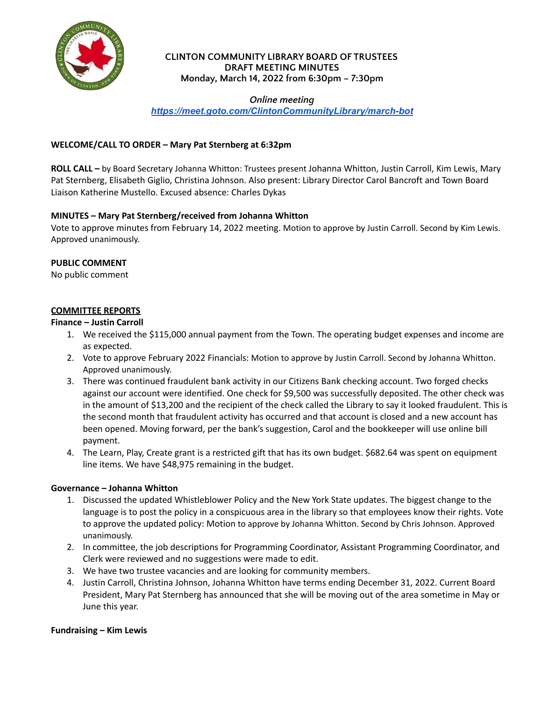

### **CLINTON COMMUNITY LIBRARY BOARD OF TRUSTEES DRAFT MEETING MINUTES Monday, March 14, 2022 from 6:30pm – 7:30pm**

*Online meeting*

*<https://meet.goto.com/ClintonCommunityLibrary/march-bot>*

## **WELCOME/CALL TO ORDER – Mary Pat Sternberg at 6:32pm**

**ROLL CALL –** by Board Secretary Johanna Whitton: Trustees present Johanna Whitton, Justin Carroll, Kim Lewis, Mary Pat Sternberg, Elisabeth Giglio, Christina Johnson. Also present: Library Director Carol Bancroft and Town Board Liaison Katherine Mustello. Excused absence: Charles Dykas

# **MINUTES – Mary Pat Sternberg/received from Johanna Whitton**

Vote to approve minutes from February 14, 2022 meeting. Motion to approve by Justin Carroll. Second by Kim Lewis. Approved unanimously.

## **PUBLIC COMMENT**

No public comment

## **COMMITTEE REPORTS**

#### **Finance – Justin Carroll**

- 1. We received the \$115,000 annual payment from the Town. The operating budget expenses and income are as expected.
- 2. Vote to approve February 2022 Financials: Motion to approve by Justin Carroll. Second by Johanna Whitton. Approved unanimously.
- WE/CALL TO ORDER Mary Pat Stemberg at 6:32pm<br>
ILL by Board Secretary Johanna Whitton: Trustees present Johanna Whitton, Justin Carroll, Kim Lewis, Mary<br>
ILL by Board Secretary Johanna Whitton: Trustees present: Libra 3. There was continued fraudulent bank activity in our Citizens Bank checking account. Two forged checks against our account were identified. One check for \$9,500 was successfully deposited. The other check was in the amount of \$13,200 and the recipient of the check called the Library to say it looked fraudulent. This is the second month that fraudulent activity has occurred and that account is closed and a new account has been opened. Moving forward, per the bank's suggestion, Carol and the bookkeeper will use online bill payment.
- 4. The Learn, Play, Create grant is a restricted gift that has its own budget. \$682.64 was spent on equipment line items. We have \$48,975 remaining in the budget.

#### **Governance – Johanna Whitton**

- 1. Discussed the updated Whistleblower Policy and the New York State updates. The biggest change to the language is to post the policy in a conspicuous area in the library so that employees know their rights. Vote to approve the updated policy: Motion to approve by Johanna Whitton. Second by Chris Johnson. Approved unanimously.
- 2. In committee, the job descriptions for Programming Coordinator, Assistant Programming Coordinator, and Clerk were reviewed and no suggestions were made to edit.
- 3. We have two trustee vacancies and are looking for community members.
- 4. Justin Carroll, Christina Johnson, Johanna Whitton have terms ending December 31, 2022. Current Board President, Mary Pat Sternberg has announced that she will be moving out of the area sometime in May or June this year.

#### **Fundraising – Kim Lewis**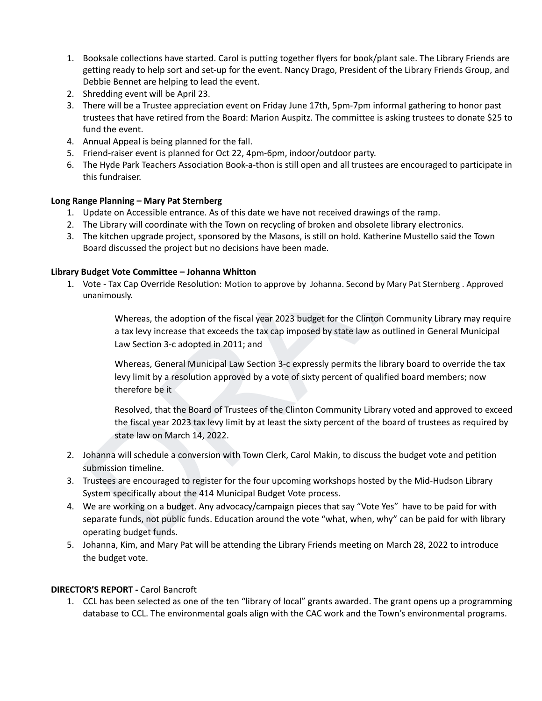- 1. Booksale collections have started. Carol is putting together flyers for book/plant sale. The Library Friends are getting ready to help sort and set-up for the event. Nancy Drago, President of the Library Friends Group, and Debbie Bennet are helping to lead the event.
- 2. Shredding event will be April 23.
- 3. There will be a Trustee appreciation event on Friday June 17th, 5pm-7pm informal gathering to honor past trustees that have retired from the Board: Marion Auspitz. The committee is asking trustees to donate \$25 to fund the event.
- 4. Annual Appeal is being planned for the fall.
- 5. Friend-raiser event is planned for Oct 22, 4pm-6pm, indoor/outdoor party.
- 6. The Hyde Park Teachers Association Book-a-thon is still open and all trustees are encouraged to participate in this fundraiser.

## **Long Range Planning – Mary Pat Sternberg**

- 1. Update on Accessible entrance. As of this date we have not received drawings of the ramp.
- 2. The Library will coordinate with the Town on recycling of broken and obsolete library electronics.
- 3. The kitchen upgrade project, sponsored by the Masons, is still on hold. Katherine Mustello said the Town Board discussed the project but no decisions have been made.

## **Library Budget Vote Committee – Johanna Whitton**

1. Vote - Tax Cap Override Resolution: Motion to approve by Johanna. Second by Mary Pat Sternberg . Approved unanimously.

> Whereas, the adoption of the fiscal year 2023 budget for the Clinton Community Library may require a tax levy increase that exceeds the tax cap imposed by state law as outlined in General Municipal Law Section 3‐c adopted in 2011; and

Whereas, General Municipal Law Section 3‐c expressly permits the library board to override the tax levy limit by a resolution approved by a vote of sixty percent of qualified board members; now therefore be it

Resolved, that the Board of Trustees of the Clinton Community Library voted and approved to exceed the fiscal year 2023 tax levy limit by at least the sixty percent of the board of trustees as required by state law on March 14, 2022.

- 2. Johanna will schedule a conversion with Town Clerk, Carol Makin, to discuss the budget vote and petition submission timeline.
- 3. Trustees are encouraged to register for the four upcoming workshops hosted by the Mid-Hudson Library System specifically about the 414 Municipal Budget Vote process.
- Annual Appeal is being planed of the fill.<br>
Annual Appeal is being planed for oct 22, 4pm-6pm, indoor/outdoor party.<br>
Triend-raiser event is planed for oct 22, 4pm-6pm, indoor/outdoor party.<br>
The tyde Park Teachers Associa 4. We are working on a budget. Any advocacy/campaign pieces that say "Vote Yes" have to be paid for with separate funds, not public funds. Education around the vote "what, when, why" can be paid for with library operating budget funds.
- 5. Johanna, Kim, and Mary Pat will be attending the Library Friends meeting on March 28, 2022 to introduce the budget vote.

# **DIRECTOR'S REPORT -** Carol Bancroft

1. CCL has been selected as one of the ten "library of local" grants awarded. The grant opens up a programming database to CCL. The environmental goals align with the CAC work and the Town's environmental programs.